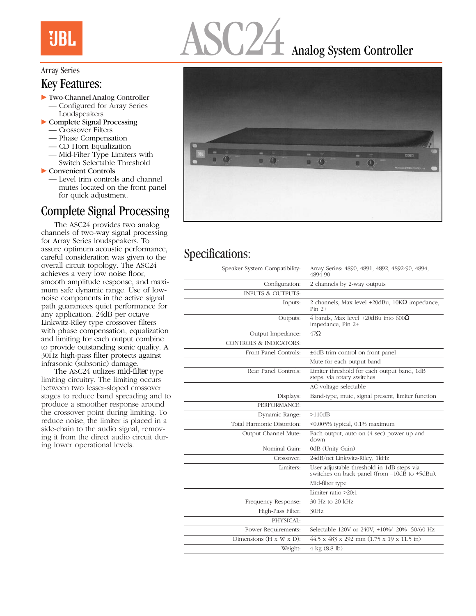## **UBL**

# Analog System Controller

#### Array Series

#### Key Features:

- $\blacktriangleright$  Two-Channel Analog Controller
	- Configured for Array Series Loudspeakers
- $\triangleright$  Complete Signal Processing
	- Crossover Filters
	- Phase Compensation
	- CD Horn Equalization
	- Mid-Filter Type Limiters with Switch Selectable Threshold

 $\blacktriangleright$  Convenient Controls

— Level trim controls and channel mutes located on the front panel for quick adjustment.

### Complete Signal Processing

The ASC24 provides two analog channels of two-way signal processing for Array Series loudspeakers. To assure optimum acoustic performance, careful consideration was given to the overall circuit topology. The ASC24 achieves a very low noise floor, smooth amplitude response, and maximum safe dynamic range. Use of lownoise components in the active signal path guarantees quiet performance for any application. 24dB per octave Linkwitz-Riley type crossover filters with phase compensation, equalization and limiting for each output combine to provide outstanding sonic quality. A 30Hz high-pass filter protects against infrasonic (subsonic) damage.

The ASC24 utilizes *mid-filter* type limiting circuitry. The limiting occurs between two lesser-sloped crossover stages to reduce band spreading and to produce a smoother response around the crossover point during limiting. To reduce noise, the limiter is placed in a side-chain to the audio signal, removing it from the direct audio circuit during lower operational levels.



#### Specifications:

| Array Series: 4890, 4891, 4892, 4892-90, 4894,<br>4894-90                                              |
|--------------------------------------------------------------------------------------------------------|
| 2 channels by 2-way outputs                                                                            |
|                                                                                                        |
| 2 channels, Max level +20dBu, $10K\Omega$ impedance,<br>$Pin 2+$                                       |
| 4 bands, Max level +20dBu into $600\Omega$<br>impedance, Pin 2+                                        |
| $47\Omega$                                                                                             |
|                                                                                                        |
| ±6dB trim control on front panel                                                                       |
| Mute for each output band                                                                              |
| Limiter threshold for each output band, 1dB<br>steps, via rotary switches                              |
| AC voltage selectable                                                                                  |
| Band-type, mute, signal present, limiter function                                                      |
|                                                                                                        |
| >110dB                                                                                                 |
| $<$ 0.005% typical, 0.1% maximum                                                                       |
| Each output, auto on (4 sec) power up and<br>down                                                      |
| 0dB (Unity Gain)                                                                                       |
| 24dB/oct Linkwitz-Riley, 1kHz                                                                          |
| User-adjustable threshold in 1dB steps via<br>switches on back panel (from $-10d\bar{B}$ to $+5dBu$ ). |
| Mid-filter type                                                                                        |
| Limiter ratio $>20:1$                                                                                  |
| 30 Hz to 20 kHz                                                                                        |
| 30Hz                                                                                                   |
|                                                                                                        |
|                                                                                                        |
| Selectable 120V or 240V, +10%/-20% 50/60 Hz                                                            |
| 44.5 x 483 x 292 mm (1.75 x 19 x 11.5 in)                                                              |
|                                                                                                        |